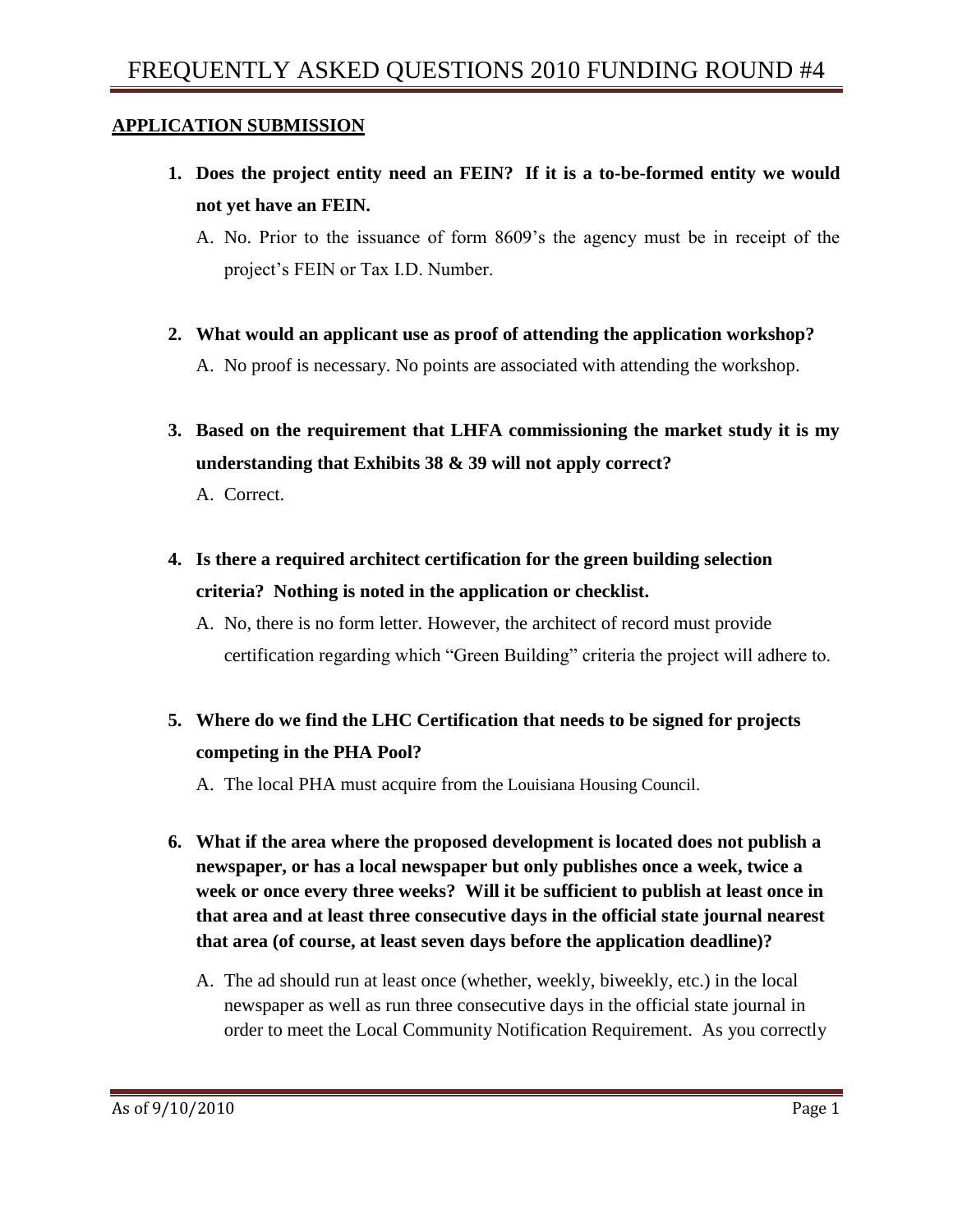#### **APPLICATION SUBMISSION**

- **1. Does the project entity need an FEIN? If it is a to-be-formed entity we would not yet have an FEIN.**
	- A. No. Prior to the issuance of form 8609's the agency must be in receipt of the project's FEIN or Tax I.D. Number.
- **2. What would an applicant use as proof of attending the application workshop?** A. No proof is necessary. No points are associated with attending the workshop.
- **3. Based on the requirement that LHFA commissioning the market study it is my understanding that Exhibits 38 & 39 will not apply correct?** A. Correct.
- **4. Is there a required architect certification for the green building selection criteria? Nothing is noted in the application or checklist.**

A. No, there is no form letter. However, the architect of record must provide certification regarding which "Green Building" criteria the project will adhere to.

**5. Where do we find the LHC Certification that needs to be signed for projects competing in the PHA Pool?**

A. The local PHA must acquire from the Louisiana Housing Council.

- **6. What if the area where the proposed development is located does not publish a newspaper, or has a local newspaper but only publishes once a week, twice a week or once every three weeks? Will it be sufficient to publish at least once in that area and at least three consecutive days in the official state journal nearest that area (of course, at least seven days before the application deadline)?**
	- A. The ad should run at least once (whether, weekly, biweekly, etc.) in the local newspaper as well as run three consecutive days in the official state journal in order to meet the Local Community Notification Requirement. As you correctly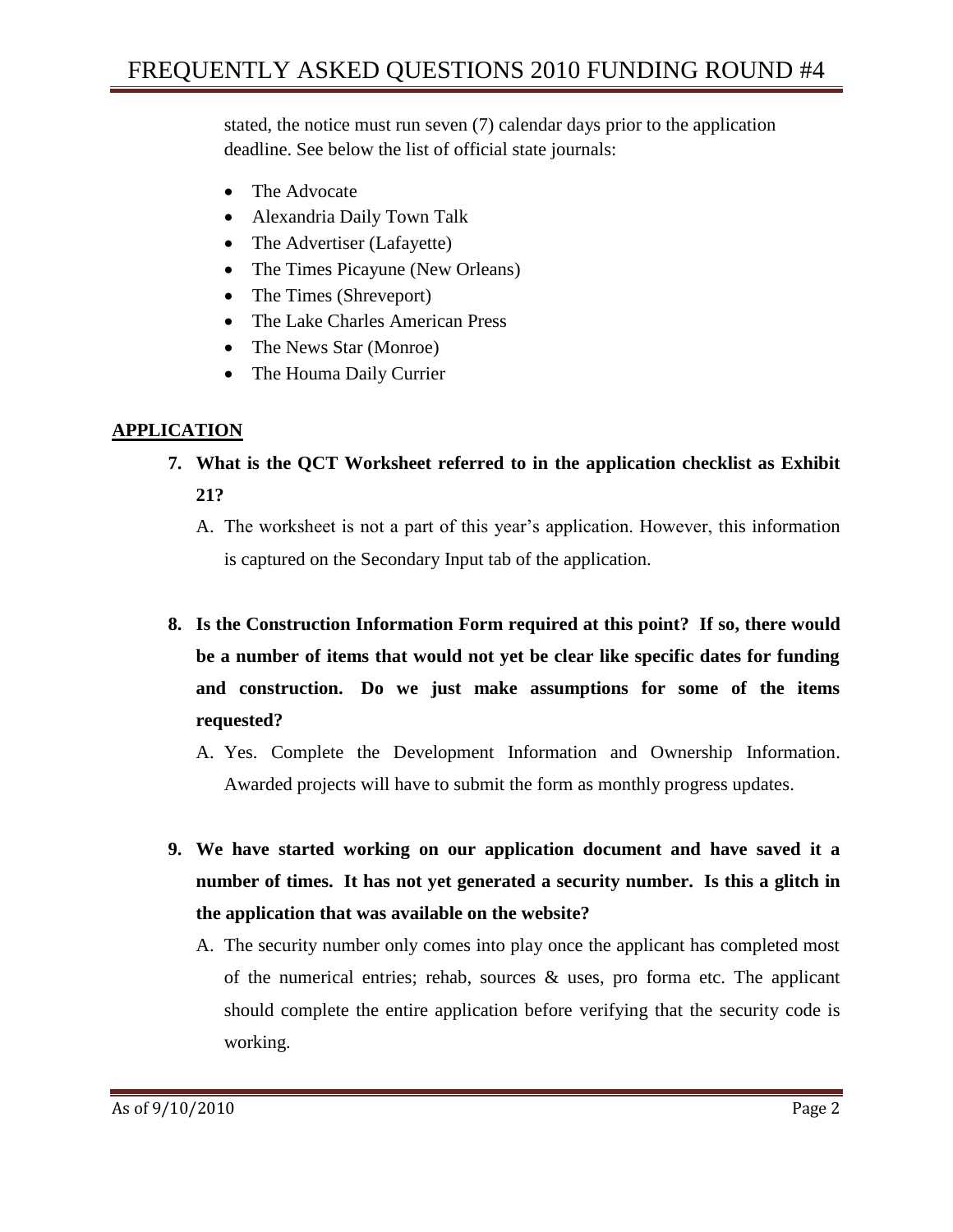stated, the notice must run seven (7) calendar days prior to the application deadline. See below the list of official state journals:

- The Advocate
- Alexandria Daily Town Talk
- The Advertiser (Lafayette)
- The Times Picayune (New Orleans)
- The Times (Shreveport)
- The Lake Charles American Press
- The News Star (Monroe)
- The Houma Daily Currier

# **APPLICATION**

- **7. What is the QCT Worksheet referred to in the application checklist as Exhibit 21?**
	- A. The worksheet is not a part of this year's application. However, this information is captured on the Secondary Input tab of the application.
- **8. Is the Construction Information Form required at this point? If so, there would be a number of items that would not yet be clear like specific dates for funding and construction. Do we just make assumptions for some of the items requested?**
	- A. Yes. Complete the Development Information and Ownership Information. Awarded projects will have to submit the form as monthly progress updates.
- **9. We have started working on our application document and have saved it a number of times. It has not yet generated a security number. Is this a glitch in the application that was available on the website?**
	- A. The security number only comes into play once the applicant has completed most of the numerical entries; rehab, sources  $\&$  uses, pro forma etc. The applicant should complete the entire application before verifying that the security code is working.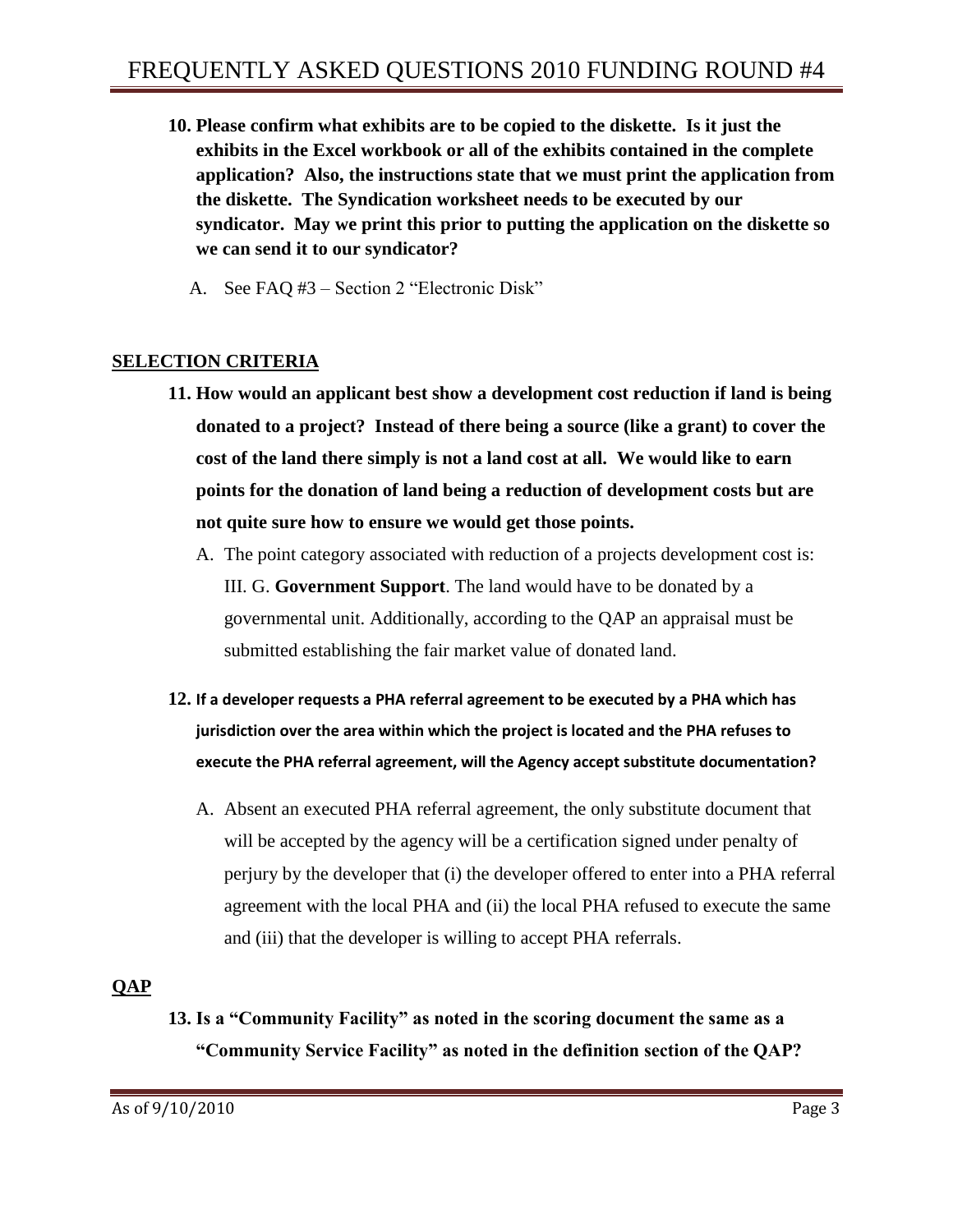- **10. Please confirm what exhibits are to be copied to the diskette. Is it just the exhibits in the Excel workbook or all of the exhibits contained in the complete application? Also, the instructions state that we must print the application from the diskette. The Syndication worksheet needs to be executed by our syndicator. May we print this prior to putting the application on the diskette so we can send it to our syndicator?** 
	- A. See FAQ #3 Section 2 "Electronic Disk"

#### **SELECTION CRITERIA**

- **11. How would an applicant best show a development cost reduction if land is being donated to a project? Instead of there being a source (like a grant) to cover the cost of the land there simply is not a land cost at all. We would like to earn points for the donation of land being a reduction of development costs but are not quite sure how to ensure we would get those points.**
	- A. The point category associated with reduction of a projects development cost is: III. G. **Government Support**. The land would have to be donated by a governmental unit. Additionally, according to the QAP an appraisal must be submitted establishing the fair market value of donated land.
- **12. If a developer requests a PHA referral agreement to be executed by a PHA which has jurisdiction over the area within which the project is located and the PHA refuses to execute the PHA referral agreement, will the Agency accept substitute documentation?**
	- A. Absent an executed PHA referral agreement, the only substitute document that will be accepted by the agency will be a certification signed under penalty of perjury by the developer that (i) the developer offered to enter into a PHA referral agreement with the local PHA and (ii) the local PHA refused to execute the same and (iii) that the developer is willing to accept PHA referrals.

# **QAP**

**13. Is a "Community Facility" as noted in the scoring document the same as a "Community Service Facility" as noted in the definition section of the QAP?**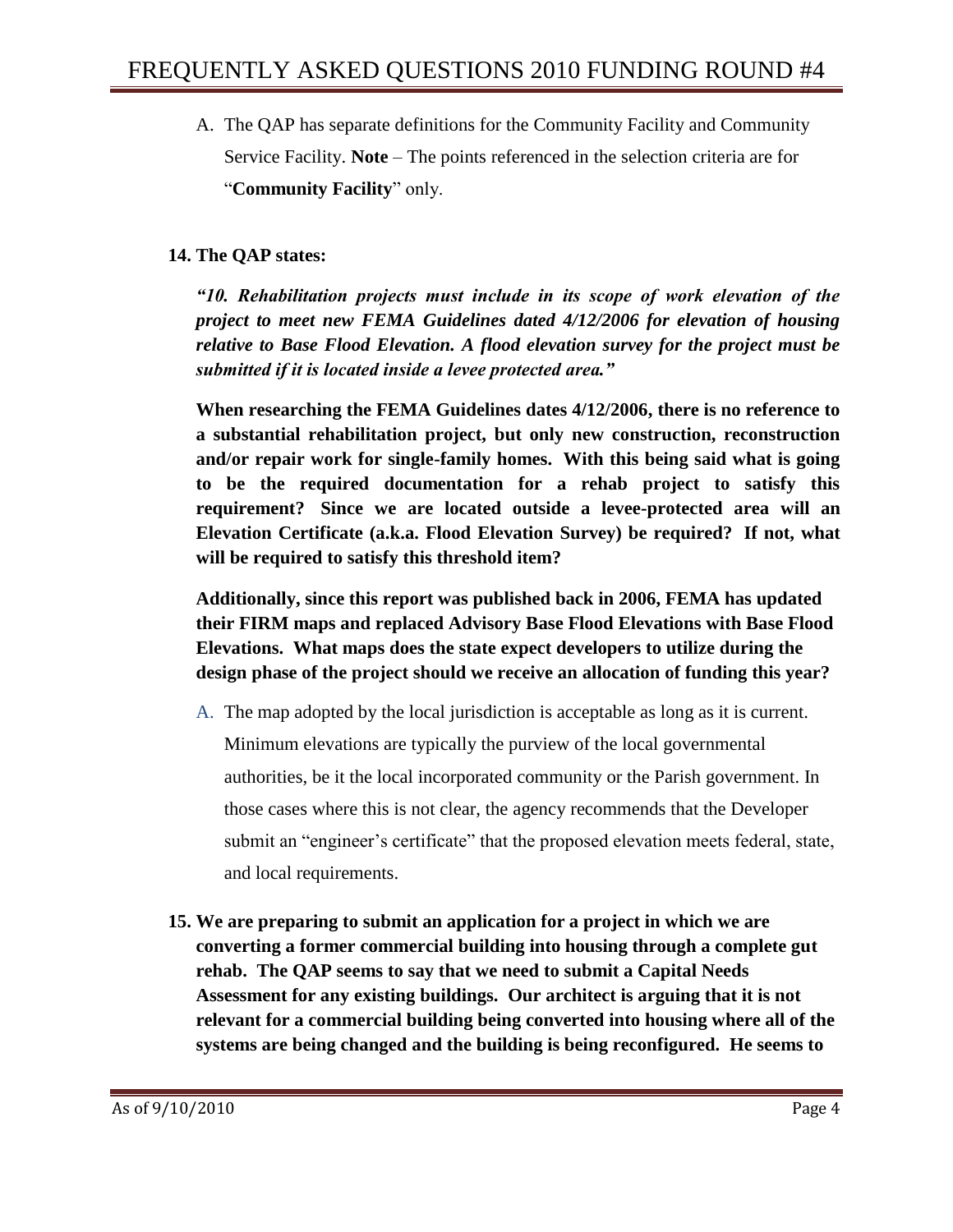A. The QAP has separate definitions for the Community Facility and Community Service Facility. **Note** – The points referenced in the selection criteria are for "**Community Facility**" only.

### **14. The QAP states:**

*"10. Rehabilitation projects must include in its scope of work elevation of the project to meet new FEMA Guidelines dated 4/12/2006 for elevation of housing relative to Base Flood Elevation. A flood elevation survey for the project must be submitted if it is located inside a levee protected area."*

**When researching the FEMA Guidelines dates 4/12/2006, there is no reference to a substantial rehabilitation project, but only new construction, reconstruction and/or repair work for single-family homes. With this being said what is going to be the required documentation for a rehab project to satisfy this requirement? Since we are located outside a levee-protected area will an Elevation Certificate (a.k.a. Flood Elevation Survey) be required? If not, what will be required to satisfy this threshold item?**

**Additionally, since this report was published back in 2006, FEMA has updated their FIRM maps and replaced Advisory Base Flood Elevations with Base Flood Elevations. What maps does the state expect developers to utilize during the design phase of the project should we receive an allocation of funding this year?** 

- A. The map adopted by the local jurisdiction is acceptable as long as it is current. Minimum elevations are typically the purview of the local governmental authorities, be it the local incorporated community or the Parish government. In those cases where this is not clear, the agency recommends that the Developer submit an "engineer's certificate" that the proposed elevation meets federal, state, and local requirements.
- **15. We are preparing to submit an application for a project in which we are converting a former commercial building into housing through a complete gut rehab. The QAP seems to say that we need to submit a Capital Needs Assessment for any existing buildings. Our architect is arguing that it is not relevant for a commercial building being converted into housing where all of the systems are being changed and the building is being reconfigured. He seems to**